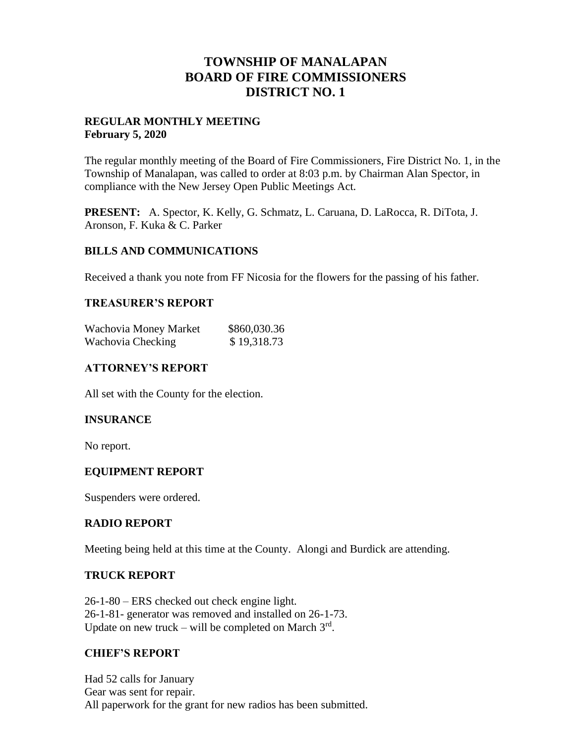# **TOWNSHIP OF MANALAPAN BOARD OF FIRE COMMISSIONERS DISTRICT NO. 1**

## **REGULAR MONTHLY MEETING February 5, 2020**

The regular monthly meeting of the Board of Fire Commissioners, Fire District No. 1, in the Township of Manalapan, was called to order at 8:03 p.m. by Chairman Alan Spector, in compliance with the New Jersey Open Public Meetings Act.

**PRESENT:** A. Spector, K. Kelly, G. Schmatz, L. Caruana, D. LaRocca, R. DiTota, J. Aronson, F. Kuka & C. Parker

## **BILLS AND COMMUNICATIONS**

Received a thank you note from FF Nicosia for the flowers for the passing of his father.

## **TREASURER'S REPORT**

| Wachovia Money Market | \$860,030.36 |
|-----------------------|--------------|
| Wachovia Checking     | \$19,318.73  |

## **ATTORNEY'S REPORT**

All set with the County for the election.

## **INSURANCE**

No report.

# **EQUIPMENT REPORT**

Suspenders were ordered.

## **RADIO REPORT**

Meeting being held at this time at the County. Alongi and Burdick are attending.

## **TRUCK REPORT**

26-1-80 – ERS checked out check engine light. 26-1-81- generator was removed and installed on 26-1-73. Update on new truck – will be completed on March  $3<sup>rd</sup>$ .

# **CHIEF'S REPORT**

Had 52 calls for January Gear was sent for repair. All paperwork for the grant for new radios has been submitted.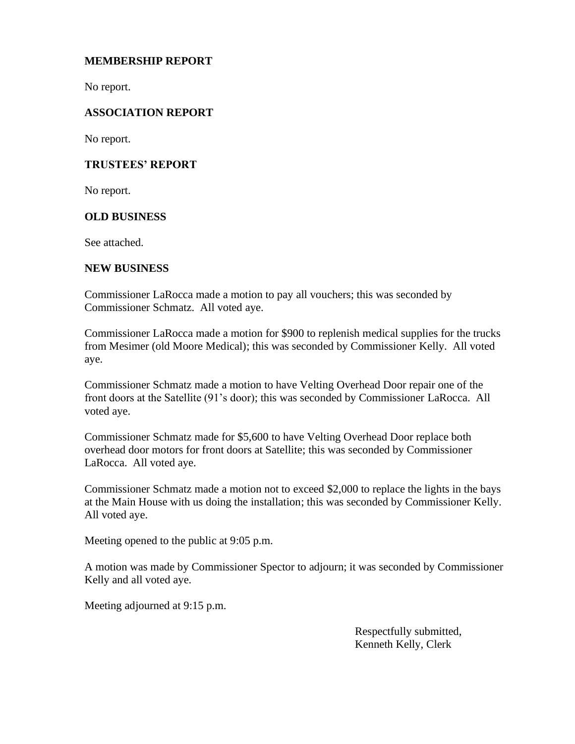## **MEMBERSHIP REPORT**

No report.

## **ASSOCIATION REPORT**

No report.

## **TRUSTEES' REPORT**

No report.

## **OLD BUSINESS**

See attached.

## **NEW BUSINESS**

Commissioner LaRocca made a motion to pay all vouchers; this was seconded by Commissioner Schmatz. All voted aye.

Commissioner LaRocca made a motion for \$900 to replenish medical supplies for the trucks from Mesimer (old Moore Medical); this was seconded by Commissioner Kelly. All voted aye.

Commissioner Schmatz made a motion to have Velting Overhead Door repair one of the front doors at the Satellite (91's door); this was seconded by Commissioner LaRocca. All voted aye.

Commissioner Schmatz made for \$5,600 to have Velting Overhead Door replace both overhead door motors for front doors at Satellite; this was seconded by Commissioner LaRocca. All voted aye.

Commissioner Schmatz made a motion not to exceed \$2,000 to replace the lights in the bays at the Main House with us doing the installation; this was seconded by Commissioner Kelly. All voted aye.

Meeting opened to the public at 9:05 p.m.

A motion was made by Commissioner Spector to adjourn; it was seconded by Commissioner Kelly and all voted aye.

Meeting adjourned at 9:15 p.m.

 Respectfully submitted, Kenneth Kelly, Clerk